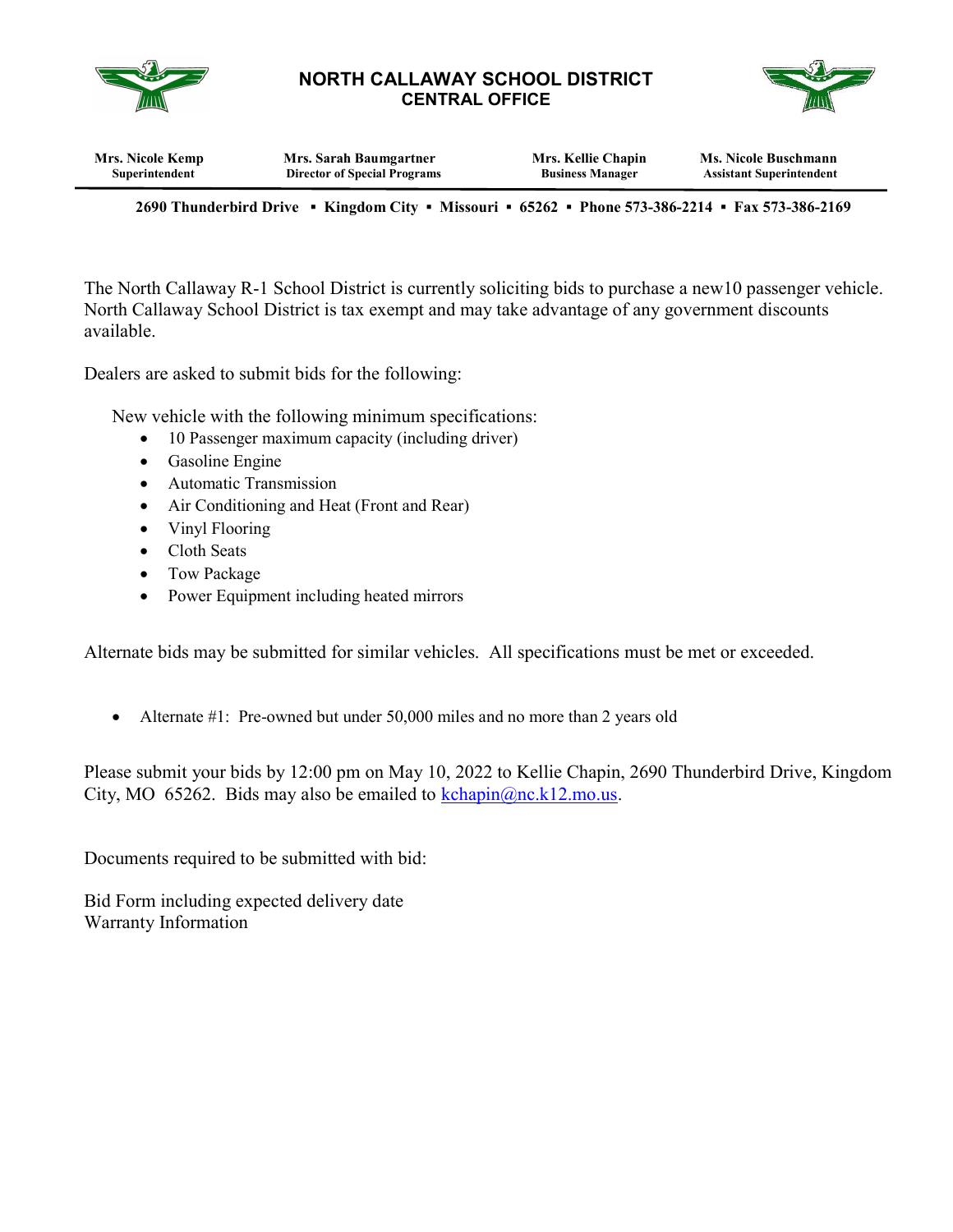

## NORTH CALLAWAY SCHOOL DISTRICT CENTRAL OFFICE



| Mrs. Nicole Kemp | Mrs. Sarah Baumgartner              | Mrs. Kellie Chapin      | <b>Ms. Nicole Buschmann</b>     |
|------------------|-------------------------------------|-------------------------|---------------------------------|
| Superintendent   | <b>Director of Special Programs</b> | <b>Business Manager</b> | <b>Assistant Superintendent</b> |
|                  |                                     |                         |                                 |

2690 Thunderbird Drive ▪ Kingdom City ▪ Missouri ▪ 65262 ▪ Phone 573-386-2214 ▪ Fax 573-386-2169

The North Callaway R-1 School District is currently soliciting bids to purchase a new10 passenger vehicle. North Callaway School District is tax exempt and may take advantage of any government discounts available.

Dealers are asked to submit bids for the following:

New vehicle with the following minimum specifications:

- 10 Passenger maximum capacity (including driver)
- Gasoline Engine
- Automatic Transmission
- Air Conditioning and Heat (Front and Rear)
- Vinyl Flooring
- Cloth Seats
- Tow Package
- Power Equipment including heated mirrors

Alternate bids may be submitted for similar vehicles. All specifications must be met or exceeded.

• Alternate #1: Pre-owned but under 50,000 miles and no more than 2 years old

Please submit your bids by 12:00 pm on May 10, 2022 to Kellie Chapin, 2690 Thunderbird Drive, Kingdom City, MO 65262. Bids may also be emailed to  $\frac{\text{kchapin}(\partial_{\text{nc}}.k12 \text{ m} \text{o.us})}{\text{kchapin}(\partial_{\text{nc}}.k12 \text{ m} \text{o.us})}$ 

Documents required to be submitted with bid:

Bid Form including expected delivery date Warranty Information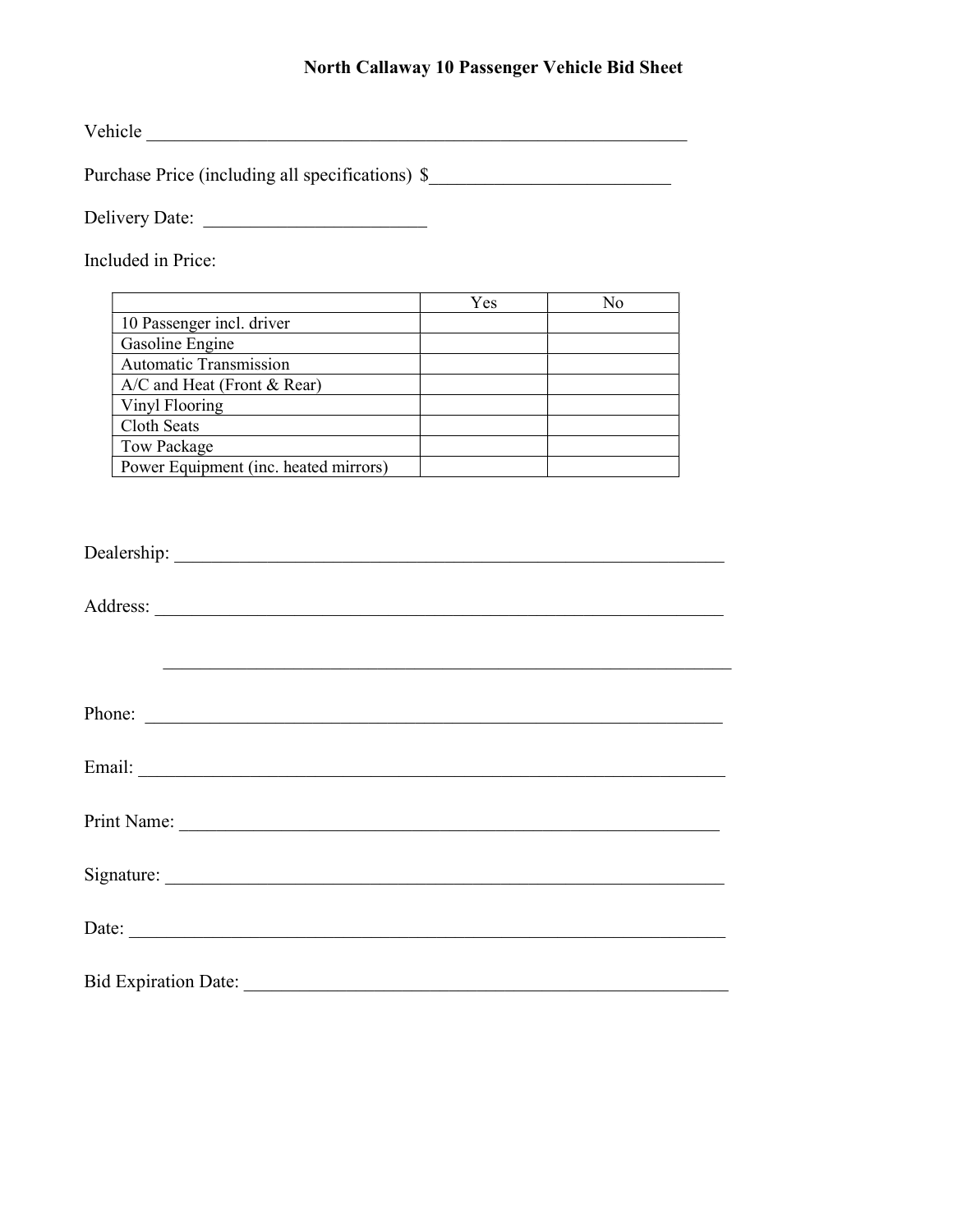## North Callaway 10 Passenger Vehicle Bid Sheet

Vehicle \_\_\_\_\_\_\_\_\_\_\_\_\_\_\_\_\_\_\_\_\_\_\_\_\_\_\_\_\_\_\_\_\_\_\_\_\_\_\_\_\_\_\_\_\_\_\_\_\_\_\_\_\_\_\_\_\_\_

Purchase Price (including all specifications) \$\_\_\_\_\_\_\_\_\_\_\_\_\_\_\_\_\_\_\_\_\_\_\_\_\_\_\_\_\_\_\_\_\_

Delivery Date: \_\_\_\_\_\_\_\_\_\_\_\_\_\_\_\_\_\_\_\_\_\_\_\_

Included in Price:

|                                       | Yes | $N_{\Omega}$ |
|---------------------------------------|-----|--------------|
| 10 Passenger incl. driver             |     |              |
| Gasoline Engine                       |     |              |
| <b>Automatic Transmission</b>         |     |              |
| $A/C$ and Heat (Front & Rear)         |     |              |
| Vinyl Flooring                        |     |              |
| Cloth Seats                           |     |              |
| Tow Package                           |     |              |
| Power Equipment (inc. heated mirrors) |     |              |

| Phone: |
|--------|
|        |
|        |
|        |
|        |
|        |
|        |
|        |
|        |
|        |
|        |